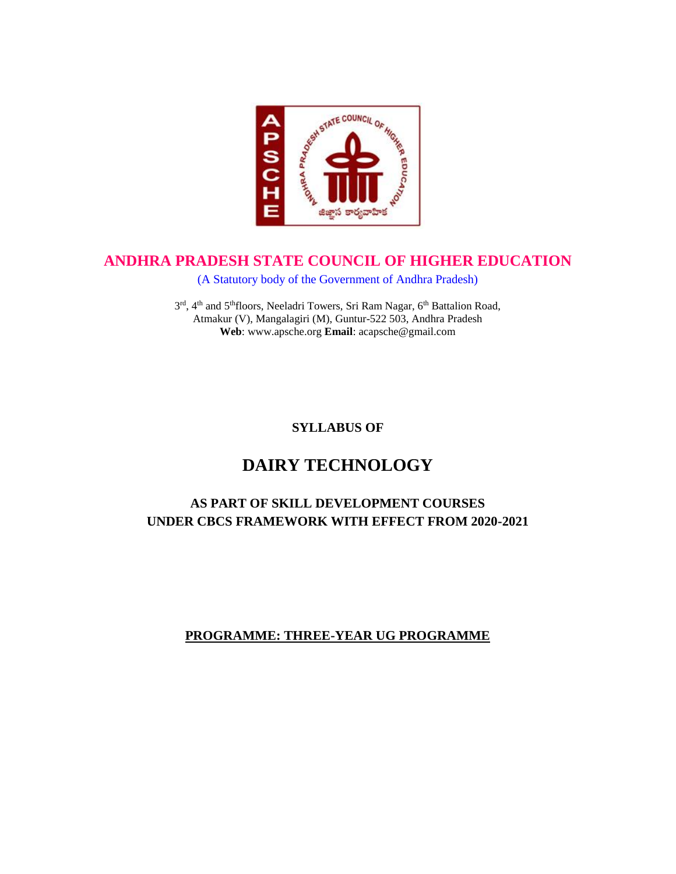

## **ANDHRA PRADESH STATE COUNCIL OF HIGHER EDUCATION**

(A Statutory body of the Government of Andhra Pradesh)

3rd, 4<sup>th</sup> and 5<sup>th</sup>floors, Neeladri Towers, Sri Ram Nagar, 6<sup>th</sup> Battalion Road, Atmakur (V), Mangalagiri (M), Guntur-522 503, Andhra Pradesh **Web**: www.apsche.org **Email**: acapsche@gmail.com

**SYLLABUS OF**

# **DAIRY TECHNOLOGY**

## **AS PART OF SKILL DEVELOPMENT COURSES UNDER CBCS FRAMEWORK WITH EFFECT FROM 2020-2021**

## **PROGRAMME: THREE-YEAR UG PROGRAMME**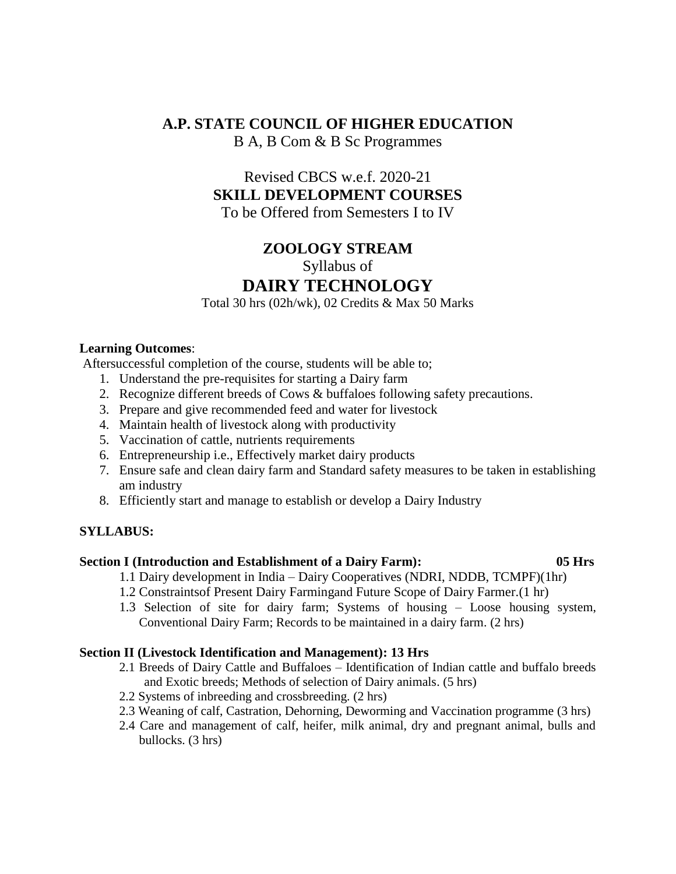## **A.P. STATE COUNCIL OF HIGHER EDUCATION** B A, B Com & B Sc Programmes

## Revised CBCS w.e.f. 2020-21 **SKILL DEVELOPMENT COURSES** To be Offered from Semesters I to IV

## **ZOOLOGY STREAM**

Syllabus of

## **DAIRY TECHNOLOGY**

Total 30 hrs (02h/wk), 02 Credits & Max 50 Marks

#### **Learning Outcomes**:

Aftersuccessful completion of the course, students will be able to;

- 1. Understand the pre-requisites for starting a Dairy farm
- 2. Recognize different breeds of Cows & buffaloes following safety precautions.
- 3. Prepare and give recommended feed and water for livestock
- 4. Maintain health of livestock along with productivity
- 5. Vaccination of cattle, nutrients requirements
- 6. Entrepreneurship i.e., Effectively market dairy products
- 7. Ensure safe and clean dairy farm and Standard safety measures to be taken in establishing am industry
- 8. Efficiently start and manage to establish or develop a Dairy Industry

### **SYLLABUS:**

#### **Section I (Introduction and Establishment of a Dairy Farm): 05 Hrs**

- 1.1 Dairy development in India Dairy Cooperatives (NDRI, NDDB, TCMPF)(1hr)
- 1.2 Constraintsof Present Dairy Farmingand Future Scope of Dairy Farmer.(1 hr)
- 1.3 Selection of site for dairy farm; Systems of housing Loose housing system, Conventional Dairy Farm; Records to be maintained in a dairy farm. (2 hrs)

#### **Section II (Livestock Identification and Management): 13 Hrs**

- 2.1 Breeds of Dairy Cattle and Buffaloes Identification of Indian cattle and buffalo breeds and Exotic breeds; Methods of selection of Dairy animals. (5 hrs)
- 2.2 Systems of inbreeding and crossbreeding. (2 hrs)
- 2.3 Weaning of calf, Castration, Dehorning, Deworming and Vaccination programme (3 hrs)
- 2.4 Care and management of calf, heifer, milk animal, dry and pregnant animal, bulls and bullocks. (3 hrs)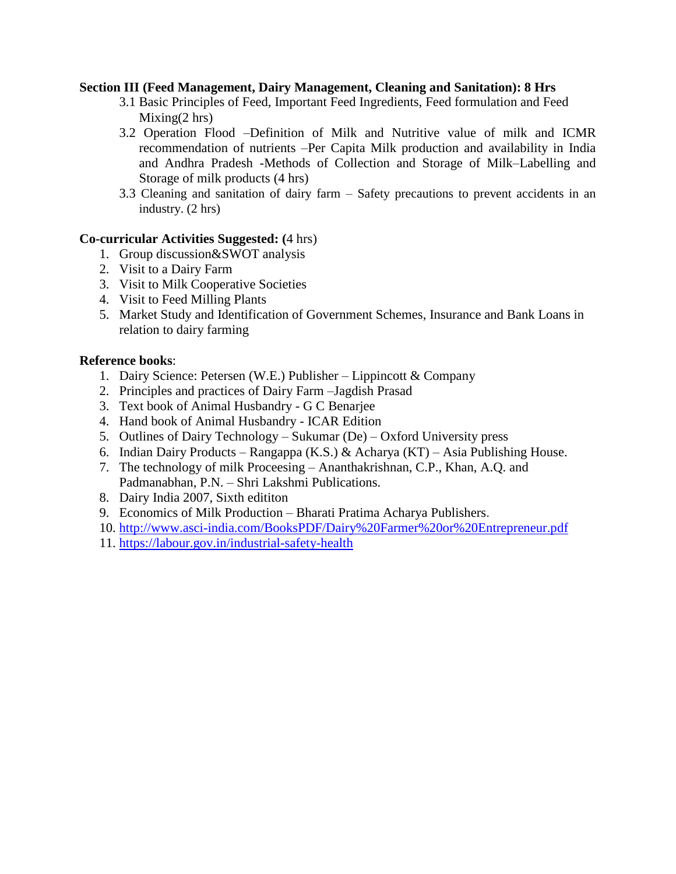### **Section III (Feed Management, Dairy Management, Cleaning and Sanitation): 8 Hrs**

- 3.1 Basic Principles of Feed, Important Feed Ingredients, Feed formulation and Feed  $Mixing(2 hrs)$
- 3.2 Operation Flood –Definition of Milk and Nutritive value of milk and ICMR recommendation of nutrients –Per Capita Milk production and availability in India and Andhra Pradesh -Methods of Collection and Storage of Milk–Labelling and Storage of milk products (4 hrs)
- 3.3 Cleaning and sanitation of dairy farm Safety precautions to prevent accidents in an industry. (2 hrs)

### **Co-curricular Activities Suggested: (**4 hrs)

- 1. Group discussion&SWOT analysis
- 2. Visit to a Dairy Farm
- 3. Visit to Milk Cooperative Societies
- 4. Visit to Feed Milling Plants
- 5. Market Study and Identification of Government Schemes, Insurance and Bank Loans in relation to dairy farming

### **Reference books**:

- 1. Dairy Science: Petersen (W.E.) Publisher Lippincott & Company
- 2. Principles and practices of Dairy Farm –Jagdish Prasad
- 3. Text book of Animal Husbandry G C Benarjee
- 4. Hand book of Animal Husbandry ICAR Edition
- 5. Outlines of Dairy Technology Sukumar (De) Oxford University press
- 6. Indian Dairy Products Rangappa (K.S.) & Acharya (KT) Asia Publishing House.
- 7. The technology of milk Proceesing Ananthakrishnan, C.P., Khan, A.Q. and Padmanabhan, P.N. – Shri Lakshmi Publications.
- 8. Dairy India 2007, Sixth edititon
- 9. Economics of Milk Production Bharati Pratima Acharya Publishers.
- 10. <http://www.asci-india.com/BooksPDF/Dairy%20Farmer%20or%20Entrepreneur.pdf>
- 11. <https://labour.gov.in/industrial-safety-health>